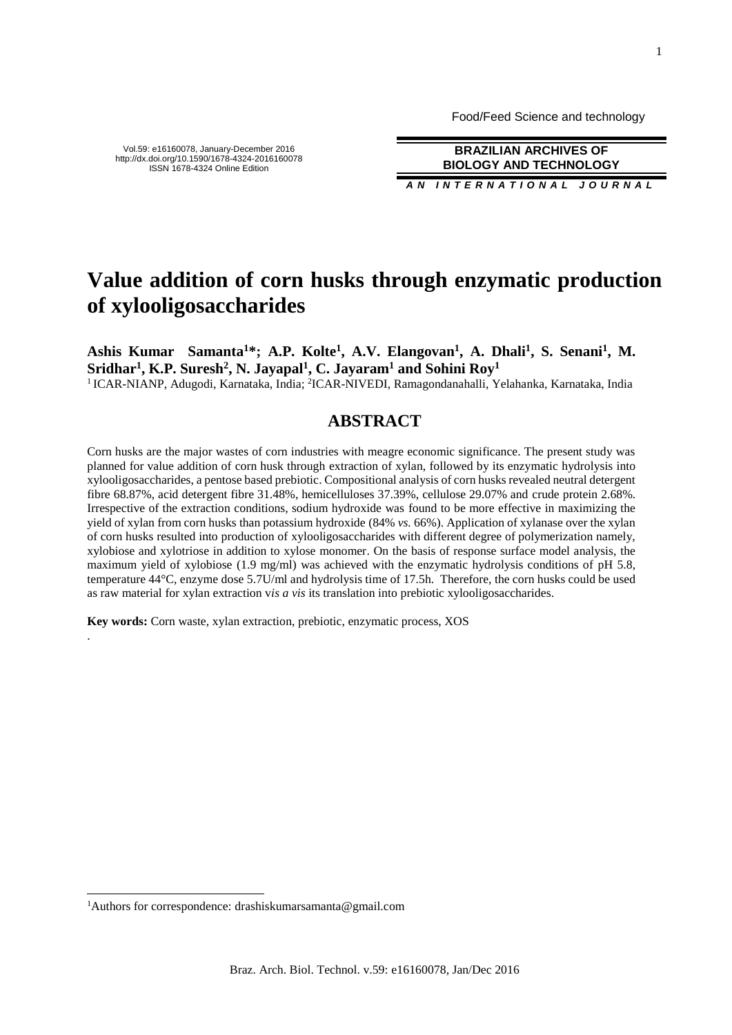Food/Feed Science and technology

Vol.59: e16160078, January-December 2016 http://dx.doi.org/10.1590/1678-4324-2016160078 ISSN 1678-4324 Online Edition

**BRAZILIAN ARCHIVES OF BIOLOGY AND TECHNOLOGY** *AN I N T E R N A T I O N A L J O U R N A L*

# **Value addition of corn husks through enzymatic production of xylooligosaccharides**

**Ashis Kumar Samanta<sup>1</sup>\*; A.P. Kolte<sup>1</sup> , A.V. Elangovan<sup>1</sup> , A. Dhali<sup>1</sup> , S. Senani<sup>1</sup> , M. Sridhar<sup>1</sup> , K.P. Suresh<sup>2</sup> , N. Jayapal<sup>1</sup> , C. Jayaram<sup>1</sup> and Sohini Roy<sup>1</sup>**

<sup>1</sup> ICAR-NIANP, Adugodi, Karnataka, India; <sup>2</sup>ICAR-NIVEDI, Ramagondanahalli, Yelahanka, Karnataka, India

## **ABSTRACT**

Corn husks are the major wastes of corn industries with meagre economic significance. The present study was planned for value addition of corn husk through extraction of xylan, followed by its enzymatic hydrolysis into xylooligosaccharides, a pentose based prebiotic. Compositional analysis of corn husks revealed neutral detergent fibre 68.87%, acid detergent fibre 31.48%, hemicelluloses 37.39%, cellulose 29.07% and crude protein 2.68%. Irrespective of the extraction conditions, sodium hydroxide was found to be more effective in maximizing the yield of xylan from corn husks than potassium hydroxide (84% *vs.* 66%). Application of xylanase over the xylan of corn husks resulted into production of xylooligosaccharides with different degree of polymerization namely, xylobiose and xylotriose in addition to xylose monomer. On the basis of response surface model analysis, the maximum yield of xylobiose (1.9 mg/ml) was achieved with the enzymatic hydrolysis conditions of pH 5.8, temperature 44°C, enzyme dose 5.7U/ml and hydrolysis time of 17.5h. Therefore, the corn husks could be used as raw material for xylan extraction v*is a vis* its translation into prebiotic xylooligosaccharides.

**Key words:** Corn waste, xylan extraction, prebiotic, enzymatic process, XOS

.

 $\overline{a}$ 

<sup>&</sup>lt;sup>1</sup>Authors for correspondence: drashiskumarsamanta@gmail.com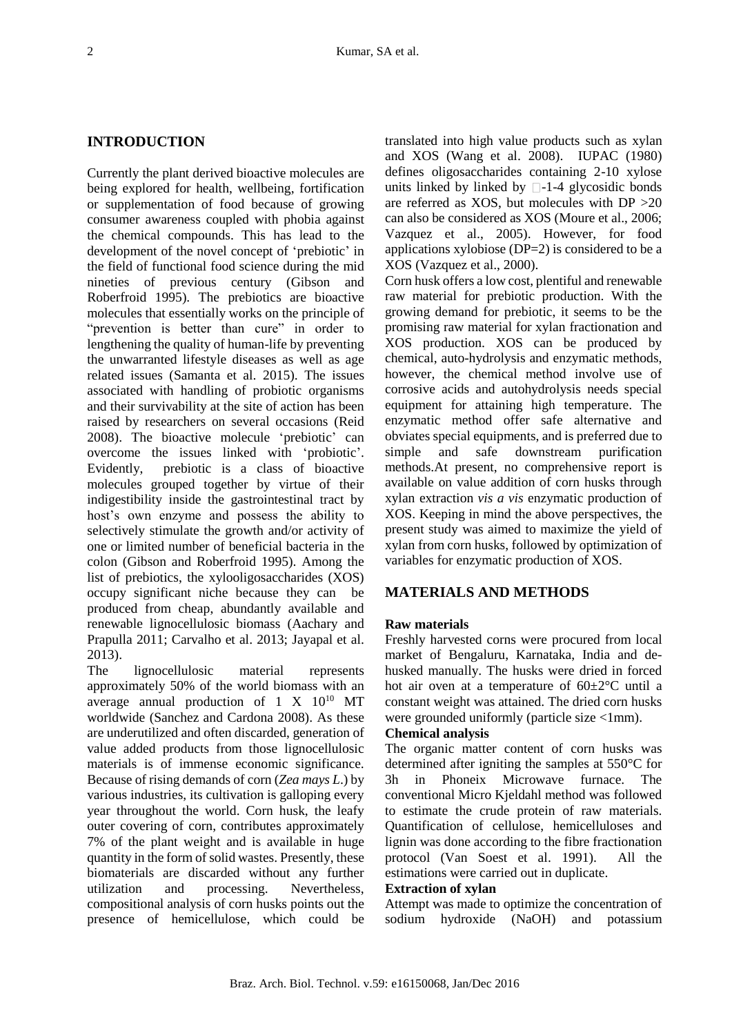## **INTRODUCTION**

Currently the plant derived bioactive molecules are being explored for health, wellbeing, fortification or supplementation of food because of growing consumer awareness coupled with phobia against the chemical compounds. This has lead to the development of the novel concept of 'prebiotic' in the field of functional food science during the mid nineties of previous century (Gibson and Roberfroid 1995). The prebiotics are bioactive molecules that essentially works on the principle of "prevention is better than cure" in order to lengthening the quality of human-life by preventing the unwarranted lifestyle diseases as well as age related issues (Samanta et al. 2015). The issues associated with handling of probiotic organisms and their survivability at the site of action has been raised by researchers on several occasions (Reid 2008). The bioactive molecule 'prebiotic' can overcome the issues linked with 'probiotic'. Evidently, prebiotic is a class of bioactive molecules grouped together by virtue of their indigestibility inside the gastrointestinal tract by host's own enzyme and possess the ability to selectively stimulate the growth and/or activity of one or limited number of beneficial bacteria in the colon (Gibson and Roberfroid 1995). Among the list of prebiotics, the xylooligosaccharides (XOS) occupy significant niche because they can be produced from cheap, abundantly available and renewable lignocellulosic biomass (Aachary and Prapulla 2011; Carvalho et al. 2013; Jayapal et al. 2013).

The lignocellulosic material represents approximately 50% of the world biomass with an average annual production of  $1 \text{ X } 10^{10} \text{ MT}$ worldwide (Sanchez and Cardona 2008). As these are underutilized and often discarded, generation of value added products from those lignocellulosic materials is of immense economic significance. Because of rising demands of corn (*Zea mays L*.) by various industries, its cultivation is galloping every year throughout the world. Corn husk, the leafy outer covering of corn, contributes approximately 7% of the plant weight and is available in huge quantity in the form of solid wastes. Presently, these biomaterials are discarded without any further utilization and processing. Nevertheless, compositional analysis of corn husks points out the presence of hemicellulose, which could be translated into high value products such as xylan and XOS (Wang et al. 2008). IUPAC (1980) defines oligosaccharides containing 2-10 xylose units linked by linked by  $\Box$ -1-4 glycosidic bonds are referred as XOS, but molecules with DP >20 can also be considered as XOS (Moure et al., 2006; Vazquez et al., 2005). However, for food applications xylobiose (DP=2) is considered to be a XOS (Vazquez et al., 2000).

Corn husk offers a low cost, plentiful and renewable raw material for prebiotic production. With the growing demand for prebiotic, it seems to be the promising raw material for xylan fractionation and XOS production. XOS can be produced by chemical, auto-hydrolysis and enzymatic methods, however, the chemical method involve use of corrosive acids and autohydrolysis needs special equipment for attaining high temperature. The enzymatic method offer safe alternative and obviates special equipments, and is preferred due to simple and safe downstream purification methods.At present, no comprehensive report is available on value addition of corn husks through xylan extraction *vis a vis* enzymatic production of XOS. Keeping in mind the above perspectives, the present study was aimed to maximize the yield of xylan from corn husks, followed by optimization of variables for enzymatic production of XOS.

## **MATERIALS AND METHODS**

## **Raw materials**

Freshly harvested corns were procured from local market of Bengaluru, Karnataka, India and dehusked manually. The husks were dried in forced hot air oven at a temperature of  $60\pm2\degree C$  until a constant weight was attained. The dried corn husks were grounded uniformly (particle size <1mm).

## **Chemical analysis**

The organic matter content of corn husks was determined after igniting the samples at 550°C for 3h in Phoneix Microwave furnace. The conventional Micro Kjeldahl method was followed to estimate the crude protein of raw materials. Quantification of cellulose, hemicelluloses and lignin was done according to the fibre fractionation protocol (Van Soest et al. 1991). All the estimations were carried out in duplicate.

#### **Extraction of xylan**

Attempt was made to optimize the concentration of sodium hydroxide (NaOH) and potassium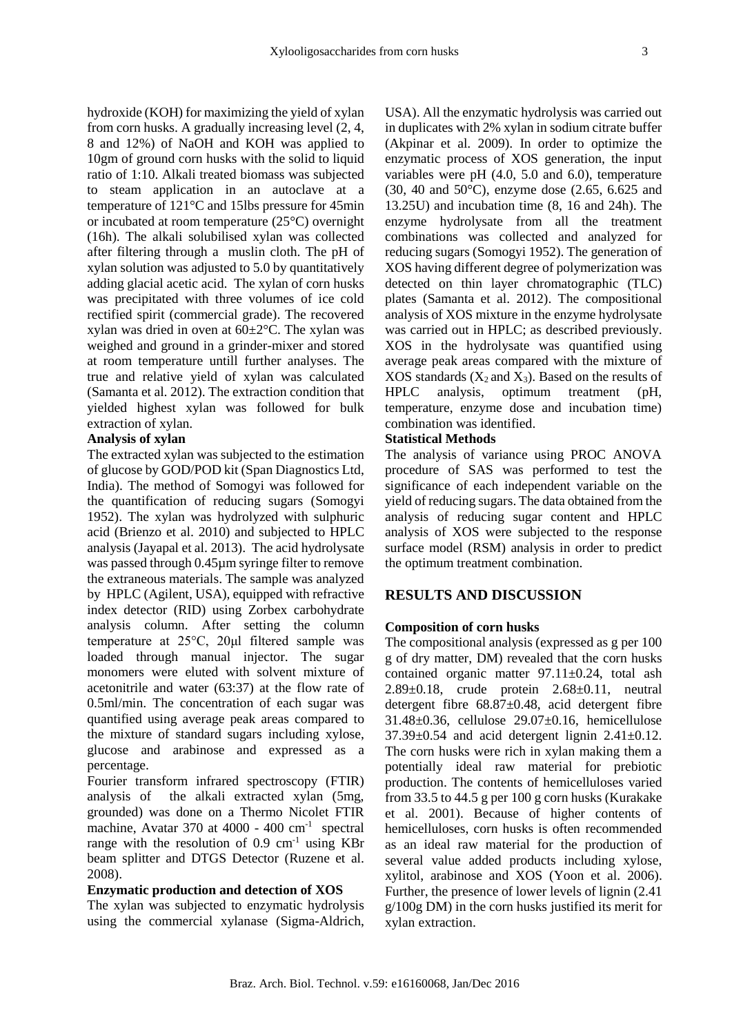hydroxide (KOH) for maximizing the yield of xylan from corn husks. A gradually increasing level (2, 4, 8 and 12%) of NaOH and KOH was applied to 10gm of ground corn husks with the solid to liquid ratio of 1:10. Alkali treated biomass was subjected to steam application in an autoclave at a temperature of 121°C and 15lbs pressure for 45min or incubated at room temperature (25°C) overnight (16h). The alkali solubilised xylan was collected after filtering through a muslin cloth. The pH of xylan solution was adjusted to 5.0 by quantitatively adding glacial acetic acid. The xylan of corn husks was precipitated with three volumes of ice cold rectified spirit (commercial grade). The recovered xylan was dried in oven at 60±2°C. The xylan was weighed and ground in a grinder-mixer and stored at room temperature untill further analyses. The true and relative yield of xylan was calculated (Samanta et al. 2012). The extraction condition that yielded highest xylan was followed for bulk extraction of xylan.

#### **Analysis of xylan**

The extracted xylan was subjected to the estimation of glucose by GOD/POD kit (Span Diagnostics Ltd, India). The method of Somogyi was followed for the quantification of reducing sugars (Somogyi 1952). The xylan was hydrolyzed with sulphuric acid (Brienzo et al. 2010) and subjected to HPLC analysis (Jayapal et al. 2013). The acid hydrolysate was passed through 0.45µm syringe filter to remove the extraneous materials. The sample was analyzed by HPLC (Agilent, USA), equipped with refractive index detector (RID) using Zorbex carbohydrate analysis column. After setting the column temperature at 25°C, 20μl filtered sample was loaded through manual injector. The sugar monomers were eluted with solvent mixture of acetonitrile and water (63:37) at the flow rate of 0.5ml/min. The concentration of each sugar was quantified using average peak areas compared to the mixture of standard sugars including xylose, glucose and arabinose and expressed as a percentage.

Fourier transform infrared spectroscopy (FTIR) analysis of the alkali extracted xylan (5mg, grounded) was done on a Thermo Nicolet FTIR machine, Avatar 370 at 4000 - 400 cm<sup>-1</sup> spectral range with the resolution of  $0.9 \text{ cm}^{-1}$  using KBr beam splitter and DTGS Detector (Ruzene et al. 2008).

### **Enzymatic production and detection of XOS**

The xylan was subjected to enzymatic hydrolysis using the commercial xylanase (Sigma-Aldrich, USA). All the enzymatic hydrolysis was carried out in duplicates with 2% xylan in sodium citrate buffer (Akpinar et al. 2009). In order to optimize the enzymatic process of XOS generation, the input variables were pH (4.0, 5.0 and 6.0), temperature (30, 40 and 50°C), enzyme dose (2.65, 6.625 and 13.25U) and incubation time (8, 16 and 24h). The enzyme hydrolysate from all the treatment combinations was collected and analyzed for reducing sugars (Somogyi 1952). The generation of XOS having different degree of polymerization was detected on thin layer chromatographic (TLC) plates (Samanta et al. 2012). The compositional analysis of XOS mixture in the enzyme hydrolysate was carried out in HPLC; as described previously. XOS in the hydrolysate was quantified using average peak areas compared with the mixture of  $XOS$  standards  $(X_2 \text{ and } X_3)$ . Based on the results of HPLC analysis, optimum treatment (pH, temperature, enzyme dose and incubation time) combination was identified.

#### **Statistical Methods**

The analysis of variance using PROC ANOVA procedure of SAS was performed to test the significance of each independent variable on the yield of reducing sugars. The data obtained from the analysis of reducing sugar content and HPLC analysis of XOS were subjected to the response surface model (RSM) analysis in order to predict the optimum treatment combination.

## **RESULTS AND DISCUSSION**

## **Composition of corn husks**

The compositional analysis (expressed as g per 100 g of dry matter, DM) revealed that the corn husks contained organic matter 97.11±0.24, total ash 2.89±0.18, crude protein 2.68±0.11, neutral detergent fibre 68.87±0.48, acid detergent fibre 31.48±0.36, cellulose 29.07±0.16, hemicellulose 37.39±0.54 and acid detergent lignin 2.41±0.12. The corn husks were rich in xylan making them a potentially ideal raw material for prebiotic production. The contents of hemicelluloses varied from 33.5 to 44.5 g per 100 g corn husks (Kurakake et al. 2001). Because of higher contents of hemicelluloses, corn husks is often recommended as an ideal raw material for the production of several value added products including xylose, xylitol, arabinose and XOS (Yoon et al. 2006). Further, the presence of lower levels of lignin (2.41 g/100g DM) in the corn husks justified its merit for xylan extraction.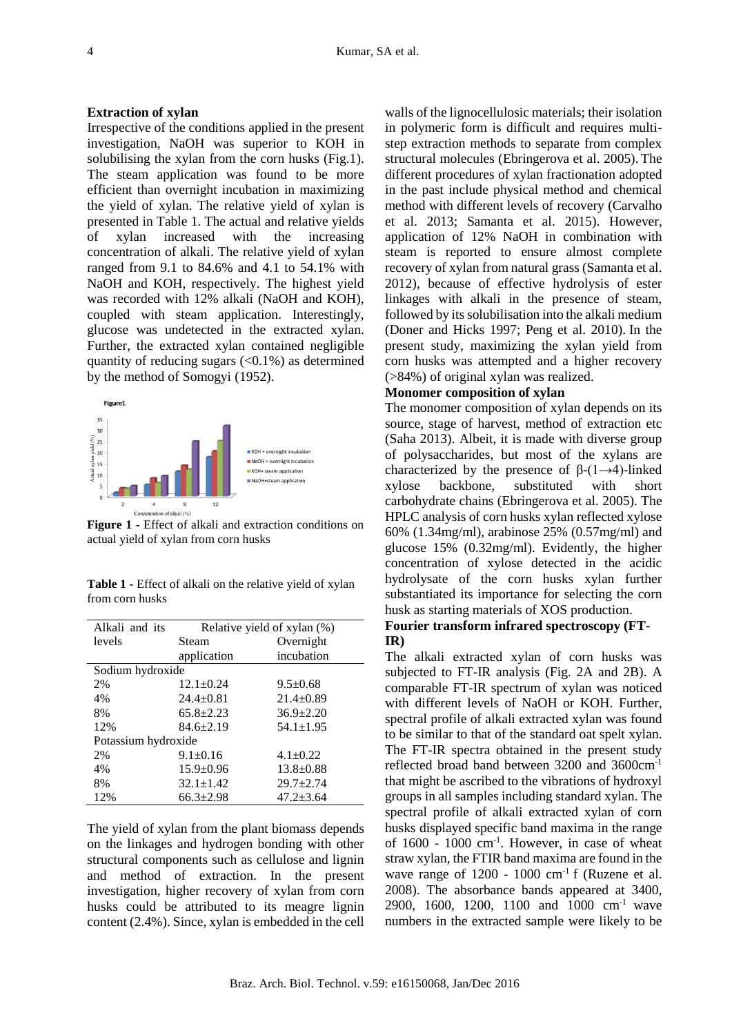## **Extraction of xylan**

Irrespective of the conditions applied in the present investigation, NaOH was superior to KOH in solubilising the xylan from the corn husks (Fig.1). The steam application was found to be more efficient than overnight incubation in maximizing the yield of xylan. The relative yield of xylan is presented in Table 1. The actual and relative yields of xylan increased with the increasing concentration of alkali. The relative yield of xylan ranged from 9.1 to 84.6% and 4.1 to 54.1% with NaOH and KOH, respectively. The highest yield was recorded with 12% alkali (NaOH and KOH), coupled with steam application. Interestingly, glucose was undetected in the extracted xylan. Further, the extracted xylan contained negligible quantity of reducing sugars  $( $0.1\%$ )$  as determined by the method of Somogyi (1952).



**Figure 1 -** Effect of alkali and extraction conditions on actual yield of xylan from corn husks

**Table 1 -** Effect of alkali on the relative yield of xylan from corn husks

| Alkali and its      | Relative yield of xylan (%) |                 |  |  |  |  |
|---------------------|-----------------------------|-----------------|--|--|--|--|
| levels              | Steam                       | Overnight       |  |  |  |  |
|                     | application                 | incubation      |  |  |  |  |
| Sodium hydroxide    |                             |                 |  |  |  |  |
| 2%                  | $12.1 \pm 0.24$             | $9.5 \pm 0.68$  |  |  |  |  |
| 4%                  | $24.4 \pm 0.81$             | $21.4 + 0.89$   |  |  |  |  |
| 8%                  | $65.8 + 2.23$               | $36.9 \pm 2.20$ |  |  |  |  |
| 12%                 | $84.6 \pm 2.19$             | $54.1 \pm 1.95$ |  |  |  |  |
| Potassium hydroxide |                             |                 |  |  |  |  |
| 2%                  | $9.1 \pm 0.16$              | $4.1 \pm 0.22$  |  |  |  |  |
| 4%                  | $15.9 \pm 0.96$             | $13.8 \pm 0.88$ |  |  |  |  |
| 8%                  | $32.1 \pm 1.42$             | $29.7 \pm 2.74$ |  |  |  |  |
| 12%                 | $66.3 + 2.98$               | $47.2 + 3.64$   |  |  |  |  |

The yield of xylan from the plant biomass depends on the linkages and hydrogen bonding with other structural components such as cellulose and lignin and method of extraction. In the present investigation, higher recovery of xylan from corn husks could be attributed to its meagre lignin content (2.4%). Since, xylan is embedded in the cell

walls of the lignocellulosic materials; their isolation in polymeric form is difficult and requires multistep extraction methods to separate from complex structural molecules (Ebringerova et al. 2005). The different procedures of xylan fractionation adopted in the past include physical method and chemical method with different levels of recovery (Carvalho et al. 2013; Samanta et al. 2015). However, application of 12% NaOH in combination with steam is reported to ensure almost complete recovery of xylan from natural grass (Samanta et al. 2012), because of effective hydrolysis of ester linkages with alkali in the presence of steam, followed by its solubilisation into the alkali medium (Doner and Hicks 1997; Peng et al. 2010). In the present study, maximizing the xylan yield from corn husks was attempted and a higher recovery (>84%) of original xylan was realized.

#### **Monomer composition of xylan**

The monomer composition of xylan depends on its source, stage of harvest, method of extraction etc (Saha 2013). Albeit, it is made with diverse group of polysaccharides, but most of the xylans are characterized by the presence of  $β-(1\rightarrow4)$ -linked xylose backbone, substituted with short carbohydrate chains (Ebringerova et al. 2005). The HPLC analysis of corn husks xylan reflected xylose 60% (1.34mg/ml), arabinose 25% (0.57mg/ml) and glucose 15% (0.32mg/ml). Evidently, the higher concentration of xylose detected in the acidic hydrolysate of the corn husks xylan further substantiated its importance for selecting the corn husk as starting materials of XOS production.

## **Fourier transform infrared spectroscopy (FT-IR)**

The alkali extracted xylan of corn husks was subjected to FT-IR analysis (Fig. 2A and 2B). A comparable FT-IR spectrum of xylan was noticed with different levels of NaOH or KOH. Further, spectral profile of alkali extracted xylan was found to be similar to that of the standard oat spelt xylan. The FT-IR spectra obtained in the present study reflected broad band between 3200 and 3600cm-1 that might be ascribed to the vibrations of hydroxyl groups in all samples including standard xylan. The spectral profile of alkali extracted xylan of corn husks displayed specific band maxima in the range of 1600 - 1000 cm-1 . However, in case of wheat straw xylan, the FTIR band maxima are found in the wave range of 1200 - 1000 cm<sup>-1</sup> f (Ruzene et al. 2008). The absorbance bands appeared at 3400, 2900, 1600, 1200, 1100 and 1000 cm<sup>-1</sup> wave numbers in the extracted sample were likely to be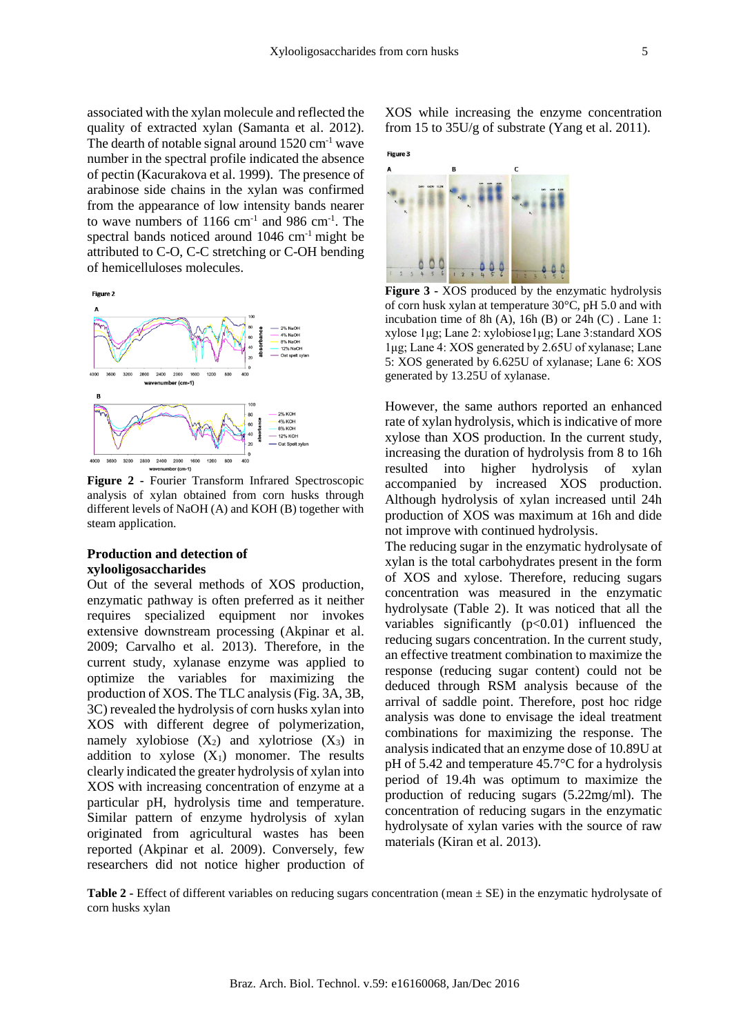associated with the xylan molecule and reflected the quality of extracted xylan (Samanta et al. 2012). The dearth of notable signal around  $1520 \text{ cm}^{-1}$  wave number in the spectral profile indicated the absence of pectin (Kacurakova et al. 1999). The presence of arabinose side chains in the xylan was confirmed from the appearance of low intensity bands nearer to wave numbers of  $1166 \text{ cm}^{-1}$  and 986  $\text{cm}^{-1}$ . The spectral bands noticed around 1046 cm<sup>-1</sup> might be attributed to C-O, C-C stretching or C-OH bending of hemicelluloses molecules.



**Figure 2 -** Fourier Transform Infrared Spectroscopic analysis of xylan obtained from corn husks through different levels of NaOH (A) and KOH (B) together with steam application.

## **Production and detection of xylooligosaccharides**

Out of the several methods of XOS production, enzymatic pathway is often preferred as it neither requires specialized equipment nor invokes extensive downstream processing (Akpinar et al. 2009; Carvalho et al. 2013). Therefore, in the current study, xylanase enzyme was applied to optimize the variables for maximizing the production of XOS. The TLC analysis (Fig. 3A, 3B, 3C) revealed the hydrolysis of corn husks xylan into XOS with different degree of polymerization, namely xylobiose  $(X_2)$  and xylotriose  $(X_3)$  in addition to xylose  $(X_1)$  monomer. The results clearly indicated the greater hydrolysis of xylan into XOS with increasing concentration of enzyme at a particular pH, hydrolysis time and temperature. Similar pattern of enzyme hydrolysis of xylan originated from agricultural wastes has been reported (Akpinar et al. 2009). Conversely, few researchers did not notice higher production of XOS while increasing the enzyme concentration from 15 to 35U/g of substrate (Yang et al. 2011).

# Figure 3



**Figure 3 -** XOS produced by the enzymatic hydrolysis of corn husk xylan at temperature 30°C, pH 5.0 and with incubation time of 8h  $(A)$ , 16h  $(B)$  or 24h  $(C)$ . Lane 1: xylose 1μg; Lane 2: xylobiose1μg; Lane 3:standard XOS 1μg; Lane 4: XOS generated by 2.65U of xylanase; Lane 5: XOS generated by 6.625U of xylanase; Lane 6: XOS generated by 13.25U of xylanase.

However, the same authors reported an enhanced rate of xylan hydrolysis, which is indicative of more xylose than XOS production. In the current study, increasing the duration of hydrolysis from 8 to 16h resulted into higher hydrolysis of xylan accompanied by increased XOS production. Although hydrolysis of xylan increased until 24h production of XOS was maximum at 16h and dide not improve with continued hydrolysis.

The reducing sugar in the enzymatic hydrolysate of xylan is the total carbohydrates present in the form of XOS and xylose. Therefore, reducing sugars concentration was measured in the enzymatic hydrolysate (Table 2). It was noticed that all the variables significantly  $(p<0.01)$  influenced the reducing sugars concentration. In the current study, an effective treatment combination to maximize the response (reducing sugar content) could not be deduced through RSM analysis because of the arrival of saddle point. Therefore, post hoc ridge analysis was done to envisage the ideal treatment combinations for maximizing the response. The analysis indicated that an enzyme dose of 10.89U at pH of 5.42 and temperature 45.7°C for a hydrolysis period of 19.4h was optimum to maximize the production of reducing sugars (5.22mg/ml). The concentration of reducing sugars in the enzymatic hydrolysate of xylan varies with the source of raw materials (Kiran et al. 2013).

**Table 2 -** Effect of different variables on reducing sugars concentration (mean  $\pm$  SE) in the enzymatic hydrolysate of corn husks xylan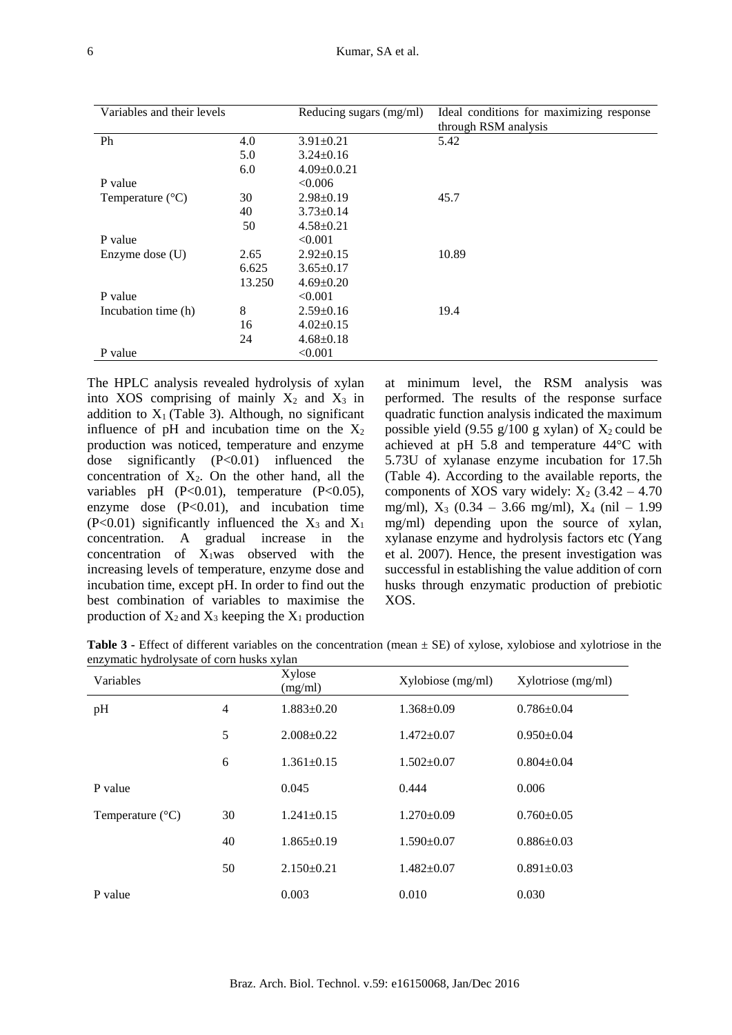| Variables and their levels |        | Reducing sugars (mg/ml) | Ideal conditions for maximizing response |
|----------------------------|--------|-------------------------|------------------------------------------|
|                            |        |                         | through RSM analysis                     |
| Ph                         | 4.0    | $3.91 \pm 0.21$         | 5.42                                     |
|                            | 5.0    | $3.24 \pm 0.16$         |                                          |
|                            | 6.0    | $4.09 \pm 0.0.21$       |                                          |
| P value                    |        | < 0.006                 |                                          |
| Temperature $(^{\circ}C)$  | 30     | $2.98 \pm 0.19$         | 45.7                                     |
|                            | 40     | $3.73 \pm 0.14$         |                                          |
|                            | 50     | $4.58 \pm 0.21$         |                                          |
| P value                    |        | < 0.001                 |                                          |
| Enzyme dose $(U)$          | 2.65   | $2.92 \pm 0.15$         | 10.89                                    |
|                            | 6.625  | $3.65 \pm 0.17$         |                                          |
|                            | 13.250 | $4.69 \pm 0.20$         |                                          |
| P value                    |        | < 0.001                 |                                          |
| Incubation time (h)        | 8      | $2.59 \pm 0.16$         | 19.4                                     |
|                            | 16     | $4.02 \pm 0.15$         |                                          |
|                            | 24     | $4.68 \pm 0.18$         |                                          |
| P value                    |        | < 0.001                 |                                          |

The HPLC analysis revealed hydrolysis of xylan into XOS comprising of mainly  $X_2$  and  $X_3$  in addition to  $X_1$  (Table 3). Although, no significant influence of pH and incubation time on the  $X_2$ production was noticed, temperature and enzyme dose significantly (P<0.01) influenced the concentration of  $X_2$ . On the other hand, all the variables pH  $(P<0.01)$ , temperature  $(P<0.05)$ , enzyme dose (P<0.01), and incubation time  $(P<0.01)$  significantly influenced the  $X_3$  and  $X_1$ concentration. A gradual increase in the concentration of  $X_1$ was observed with the increasing levels of temperature, enzyme dose and incubation time, except pH. In order to find out the best combination of variables to maximise the production of  $X_2$  and  $X_3$  keeping the  $X_1$  production

at minimum level, the RSM analysis was performed. The results of the response surface quadratic function analysis indicated the maximum possible yield (9.55 g/100 g xylan) of  $X_2$  could be achieved at pH 5.8 and temperature 44°C with 5.73U of xylanase enzyme incubation for 17.5h (Table 4). According to the available reports, the components of XOS vary widely:  $X_2$  (3.42 – 4.70) mg/ml),  $X_3$  (0.34 – 3.66 mg/ml),  $X_4$  (nil – 1.99 mg/ml) depending upon the source of xylan, xylanase enzyme and hydrolysis factors etc (Yang et al. 2007). Hence, the present investigation was successful in establishing the value addition of corn husks through enzymatic production of prebiotic XOS.

**Table 3 -** Effect of different variables on the concentration (mean  $\pm$  SE) of xylose, xylobiose and xylotriose in the enzymatic hydrolysate of corn husks xylan

| Variables                 |                | Xylose<br>(mg/ml) | Xylobiose (mg/ml) | $Xylotriose$ (mg/ml) |
|---------------------------|----------------|-------------------|-------------------|----------------------|
| pH                        | $\overline{4}$ | $1.883 \pm 0.20$  | $1.368 \pm 0.09$  | $0.786 \pm 0.04$     |
|                           | 5              | $2.008 \pm 0.22$  | $1.472 \pm 0.07$  | $0.950 \pm 0.04$     |
|                           | 6              | $1.361 \pm 0.15$  | $1.502 \pm 0.07$  | $0.804 \pm 0.04$     |
| P value                   |                | 0.045             | 0.444             | 0.006                |
| Temperature $(^{\circ}C)$ | 30             | $1.241 \pm 0.15$  | $1.270 \pm 0.09$  | $0.760 \pm 0.05$     |
|                           | 40             | $1.865 \pm 0.19$  | $1.590 \pm 0.07$  | $0.886 \pm 0.03$     |
|                           | 50             | $2.150\pm0.21$    | $1.482 \pm 0.07$  | $0.891 \pm 0.03$     |
| P value                   |                | 0.003             | 0.010             | 0.030                |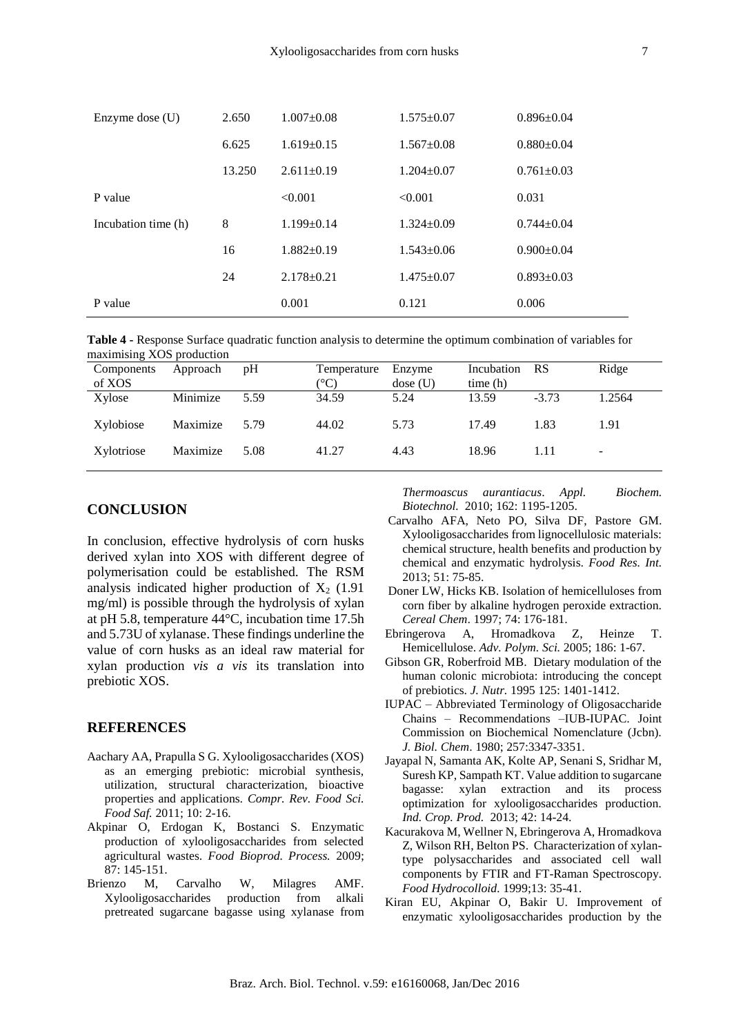| Enzyme dose $(U)$   | 2.650  | $1.007 \pm 0.08$<br>$1.575 \pm 0.07$ |                  | $0.896 \pm 0.04$ |  |
|---------------------|--------|--------------------------------------|------------------|------------------|--|
|                     | 6.625  | $1.619 \pm 0.15$                     | $1.567 \pm 0.08$ | $0.880\pm0.04$   |  |
|                     | 13.250 | $2.611 \pm 0.19$                     | $1.204 \pm 0.07$ | $0.761 \pm 0.03$ |  |
| P value             |        | < 0.001                              | < 0.001          | 0.031            |  |
| Incubation time (h) | 8      | $1.199 \pm 0.14$                     | $1.324 \pm 0.09$ | $0.744 \pm 0.04$ |  |
|                     | 16     | $1.882 \pm 0.19$                     | $1.543 \pm 0.06$ | $0.900 \pm 0.04$ |  |
|                     | 24     | $2.178 \pm 0.21$                     | $1.475 \pm 0.07$ | $0.893 \pm 0.03$ |  |
| P value             |        | 0.001                                | 0.121            | 0.006            |  |

**Table 4 -** Response Surface quadratic function analysis to determine the optimum combination of variables for maximising XOS production

| Components<br>of XOS | Approach | pH   | Temperature<br>$^{\circ}\mathrm{C}$ | Enzyme<br>dose(U) | Incubation<br>time(h) | <b>RS</b> | Ridge                    |
|----------------------|----------|------|-------------------------------------|-------------------|-----------------------|-----------|--------------------------|
| Xylose               | Minimize | 5.59 | 34.59                               | 5.24              | 13.59                 | $-3.73$   | 1.2564                   |
| Xylobiose            | Maximize | 5.79 | 44.02                               | 5.73              | 17.49                 | 1.83      | 1.91                     |
| Xylotriose           | Maximize | 5.08 | 41.27                               | 4.43              | 18.96                 | 1.11      | $\overline{\phantom{a}}$ |

## **CONCLUSION**

In conclusion, effective hydrolysis of corn husks derived xylan into XOS with different degree of polymerisation could be established. The RSM analysis indicated higher production of  $X_2$  (1.91) mg/ml) is possible through the hydrolysis of xylan at pH 5.8, temperature 44°C, incubation time 17.5h and 5.73U of xylanase. These findings underline the value of corn husks as an ideal raw material for xylan production *vis a vis* its translation into prebiotic XOS.

### **REFERENCES**

- Aachary AA, Prapulla S G. Xylooligosaccharides (XOS) as an emerging prebiotic: microbial synthesis, utilization, structural characterization, bioactive properties and applications. *Compr. Rev. Food Sci. Food Saf.* 2011; 10: 2-16.
- Akpinar O, Erdogan K, Bostanci S. Enzymatic production of xylooligosaccharides from selected agricultural wastes. *Food Bioprod. Process.* 2009; 87: 145-151.
- Brienzo M, Carvalho W, Milagres AMF. Xylooligosaccharides production from alkali pretreated sugarcane bagasse using xylanase from

*Thermoascus aurantiacus*. *Appl. Biochem. Biotechnol.* 2010; 162: 1195-1205.

- Carvalho AFA, Neto PO, Silva DF, Pastore GM. Xylooligosaccharides from lignocellulosic materials: chemical structure, health benefits and production by chemical and enzymatic hydrolysis. *Food Res. Int.* 2013; 51: 75-85.
- Doner LW, Hicks KB. Isolation of hemicelluloses from corn fiber by alkaline hydrogen peroxide extraction. *Cereal Chem*. 1997; 74: 176-181.
- Ebringerova A, Hromadkova Z, Heinze T. Hemicellulose. *Adv. Polym. Sci.* 2005; 186: 1-67.
- Gibson GR, Roberfroid MB. Dietary modulation of the human colonic microbiota: introducing the concept of prebiotics. *J. Nutr.* 1995 125: 1401-1412.
- IUPAC Abbreviated Terminology of Oligosaccharide Chains – Recommendations –IUB-IUPAC. Joint Commission on Biochemical Nomenclature (Jcbn). *J. Biol. Chem*. 1980; 257:3347-3351.
- Jayapal N, Samanta AK, Kolte AP, Senani S, Sridhar M, Suresh KP, Sampath KT. Value addition to sugarcane bagasse: xylan extraction and its process optimization for xylooligosaccharides production. *Ind. Crop. Prod.* 2013; 42: 14-24.
- Kacurakova M, Wellner N, Ebringerova A, Hromadkova Z, Wilson RH, Belton PS. Characterization of xylantype polysaccharides and associated cell wall components by FTIR and FT-Raman Spectroscopy. *Food Hydrocolloid.* 1999;13: 35-41.
- Kiran EU, Akpinar O, Bakir U. Improvement of enzymatic xylooligosaccharides production by the